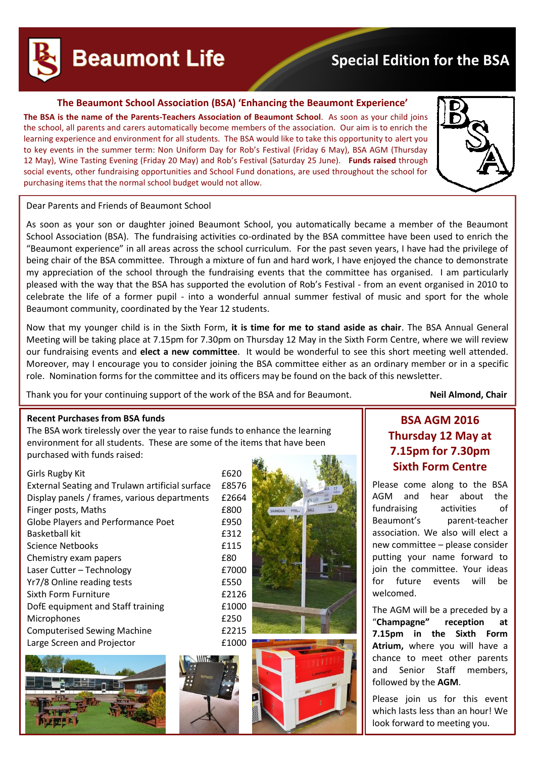# **Beaumont Life**

# **Special Edition for the BSA**

# **The Beaumont School Association (BSA) 'Enhancing the Beaumont Experience'**

**The BSA is the name of the Parents-Teachers Association of Beaumont School**. As soon as your child joins the school, all parents and carers automatically become members of the association. Our aim is to enrich the learning experience and environment for all students. The BSA would like to take this opportunity to alert you to key events in the summer term: Non Uniform Day for Rob's Festival (Friday 6 May), BSA AGM (Thursday 12 May), Wine Tasting Evening (Friday 20 May) and Rob's Festival (Saturday 25 June). **Funds raised** through social events, other fundraising opportunities and School Fund donations, are used throughout the school for purchasing items that the normal school budget would not allow.



### Dear Parents and Friends of Beaumont School

As soon as your son or daughter joined Beaumont School, you automatically became a member of the Beaumont School Association (BSA). The fundraising activities co-ordinated by the BSA committee have been used to enrich the "Beaumont experience" in all areas across the school curriculum. For the past seven years, I have had the privilege of being chair of the BSA committee. Through a mixture of fun and hard work, I have enjoyed the chance to demonstrate my appreciation of the school through the fundraising events that the committee has organised. I am particularly pleased with the way that the BSA has supported the evolution of Rob's Festival - from an event organised in 2010 to celebrate the life of a former pupil - into a wonderful annual summer festival of music and sport for the whole Beaumont community, coordinated by the Year 12 students.

Now that my younger child is in the Sixth Form, **it is time for me to stand aside as chair**. The BSA Annual General Meeting will be taking place at 7.15pm for 7.30pm on Thursday 12 May in the Sixth Form Centre, where we will review our fundraising events and **elect a new committee**. It would be wonderful to see this short meeting well attended. Moreover, may I encourage you to consider joining the BSA committee either as an ordinary member or in a specific role. Nomination forms for the committee and its officers may be found on the back of this newsletter.

Thank you for your continuing support of the work of the BSA and for Beaumont. **Neil Almond, Chair**

### **Recent Purchases from BSA funds**

The BSA work tirelessly over the year to raise funds to enhance the learning environment for all students. These are some of the items that have been purchased with funds raised:

### Girls Rugby Kit **Engles** 620

| External Seating and Trulawn artificial surface | £8576 |
|-------------------------------------------------|-------|
| Display panels / frames, various departments    | £2664 |
| Finger posts, Maths                             | £800  |
| <b>Globe Players and Performance Poet</b>       | £950  |
| <b>Basketball kit</b>                           | £312  |
| Science Netbooks                                | £115  |
| Chemistry exam papers                           | £80   |
| Laser Cutter - Technology                       | £7000 |
| Yr7/8 Online reading tests                      | £550  |
| Sixth Form Furniture                            | £2126 |
| DofE equipment and Staff training               | £1000 |
| <b>Microphones</b>                              | £250  |
| <b>Computerised Sewing Machine</b>              | £2215 |
| Large Screen and Projector                      | £1000 |





# **BSA AGM 2016 Thursday 12 May at 7.15pm for 7.30pm Sixth Form Centre**

Please come along to the BSA AGM and hear about the fundraising activities of Beaumont's parent-teacher association. We also will elect a new committee – please consider putting your name forward to join the committee. Your ideas for future events will be welcomed.

The AGM will be a preceded by a "**Champagne" reception at 7.15pm in the Sixth Form Atrium,** where you will have a chance to meet other parents and Senior Staff members, followed by the **AGM**.

Please join us for this event which lasts less than an hour! We look forward to meeting you.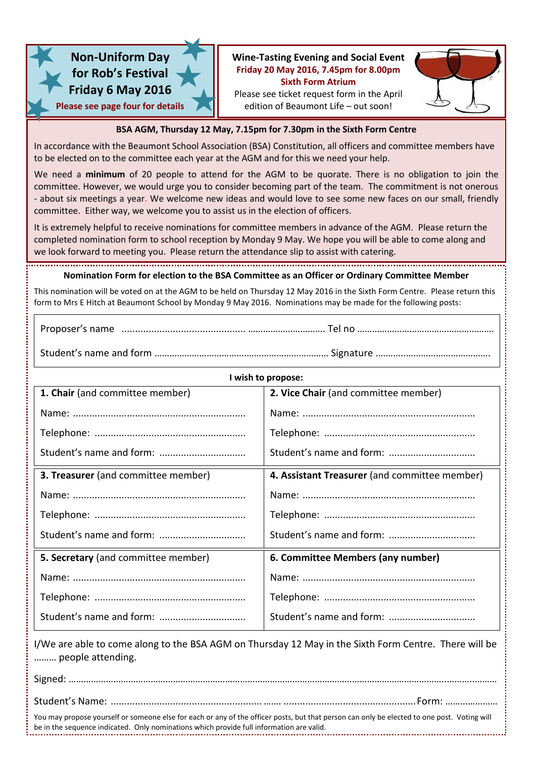

# **Non-Uniform Day for Rob's Festival Friday 6 May 2016 Please see page four for details**

# **Wine-Tasting Evening and Social Event Friday 20 May 2016, 7.45pm for 8.00pm Sixth Form Atrium**



Please see ticket request form in the April edition of Beaumont Life – out soon!

## **BSA AGM, Thursday 12 May, 7.15pm for 7.30pm in the Sixth Form Centre**

In accordance with the Beaumont School Association (BSA) Constitution, all officers and committee members have to be elected on to the committee each year at the AGM and for this we need your help.

We need a **minimum** of 20 people to attend for the AGM to be quorate. There is no obligation to join the committee. However, we would urge you to consider becoming part of the team. The commitment is not onerous - about six meetings a year. We welcome new ideas and would love to see some new faces on our small, friendly committee. Either way, we welcome you to assist us in the election of officers.

It is extremely helpful to receive nominations for committee members in advance of the AGM. Please return the completed nomination form to school reception by Monday 9 May. We hope you will be able to come along and we look forward to meeting you. Please return the attendance slip to assist with catering.

# **Nomination Form for election to the BSA Committee as an Officer or Ordinary Committee Member**

This nomination will be voted on at the AGM to be held on Thursday 12 May 2016 in the Sixth Form Centre. Please return this form to Mrs E Hitch at Beaumont School by Monday 9 May 2016. Nominations may be made for the following posts:

Proposer's name .............................................. …………………………. Tel no ……………………………………………….

Student's name and form ……………………………….…………………………… Signature .………..…………………………….

| I wish to propose:                         |                                               |  |  |
|--------------------------------------------|-----------------------------------------------|--|--|
| 1. Chair (and committee member)            | 2. Vice Chair (and committee member)          |  |  |
|                                            |                                               |  |  |
|                                            |                                               |  |  |
|                                            |                                               |  |  |
| <b>3. Treasurer</b> (and committee member) | 4. Assistant Treasurer (and committee member) |  |  |
|                                            |                                               |  |  |
|                                            |                                               |  |  |
|                                            |                                               |  |  |
| 5. Secretary (and committee member)        | 6. Committee Members (any number)             |  |  |
|                                            |                                               |  |  |
|                                            |                                               |  |  |
|                                            |                                               |  |  |

I/We are able to come along to the BSA AGM on Thursday 12 May in the Sixth Form Centre. There will be ……… people attending.

| You may propose yourself or someone else for each or any of the officer posts, but that person can only be elected to one post. Voting will<br>be in the sequence indicated. Only nominations which provide full information are valid. |  |
|-----------------------------------------------------------------------------------------------------------------------------------------------------------------------------------------------------------------------------------------|--|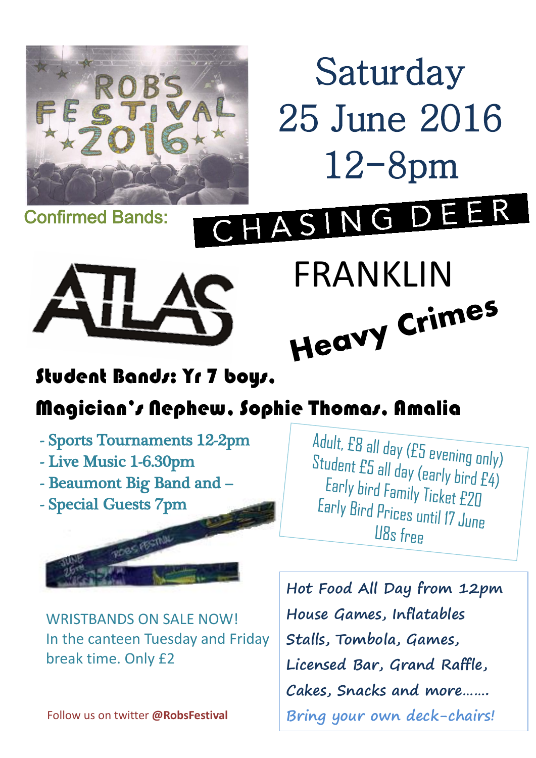

Saturday 25 June 2016 12-8pm

Confirmed Bands:



FRANKLIN<br>Heavy Crimes

# Student Bands: Yr 7 boys,

# Magician's Nephew, Sophie Thomas, Amalia

- Sports Tournaments 12-2pm
- Live Music 1-6.30pm
- Beaumont Big Band and –
- Special Guests 7pm



WRISTBANDS ON SALE NOW! In the canteen Tuesday and Friday break time. Only £2

Adult, E8 all day (E5 evening only) Student  $ES$  all day (early bird  $E4$ )<br>Early bird family fird  $E4$ ) Early bird Family Ticket £20<br>arly Bird Family Ticket £20 Early Bird Prices until 17 June U8s free

**Hot Food All Day from 12pm House Games, Inflatables Stalls, Tombola, Games, Licensed Bar, Grand Raffle, Cakes, Snacks and more……. Bring your own deck-chairs!**

Follow us on twitter **@RobsFestival**